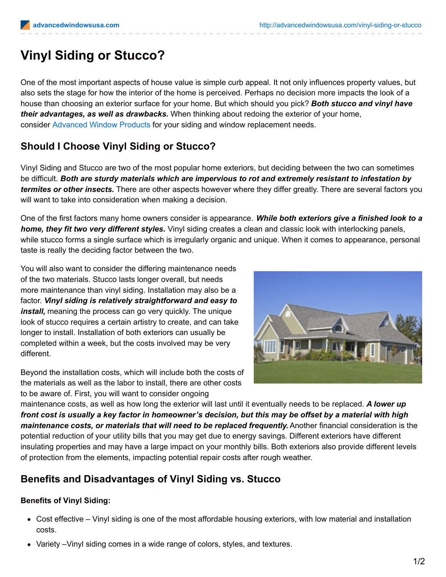# **Vinyl Siding or Stucco?**

One of the most important aspects of house value is simple curb appeal. It not only influences property values, but also sets the stage for how the interior of the home is perceived. Perhaps no decision more impacts the look of a house than choosing an exterior surface for your home. But which should you pick? *Both stucco and vinyl have their advantages, as well as drawbacks.* When thinking about redoing the exterior of your home, consider [Advanced](http://advancedwindowsusa.com/) Window Products for your siding and window replacement needs.

## **Should I Choose Vinyl Siding or Stucco?**

Vinyl Siding and Stucco are two of the most popular home exteriors, but deciding between the two can sometimes be difficult. *Both are sturdy materials which are impervious to rot and extremely resistant to infestation by termites or other insects.* There are other aspects however where they differ greatly. There are several factors you will want to take into consideration when making a decision.

One of the first factors many home owners consider is appearance. *While both exteriors give a finished look to a home, they fit two very different styles.* Vinyl siding creates a clean and classic look with interlocking panels, while stucco forms a single surface which is irregularly organic and unique. When it comes to appearance, personal taste is really the deciding factor between the two.

You will also want to consider the differing maintenance needs of the two materials. Stucco lasts longer overall, but needs more maintenance than vinyl siding. Installation may also be a factor. *Vinyl siding is relatively straightforward and easy to install,* meaning the process can go very quickly. The unique look of stucco requires a certain artistry to create, and can take longer to install. Installation of both exteriors can usually be completed within a week, but the costs involved may be very different.

Beyond the installation costs, which will include both the costs of the materials as well as the labor to install, there are other costs to be aware of. First, you will want to consider ongoing



maintenance costs, as well as how long the exterior will last until it eventually needs to be replaced. *A lower up* front cost is usually a key factor in homeowner's decision, but this may be offset by a material with high *maintenance costs, or materials that will need to be replaced frequently.* Another financial consideration is the potential reduction of your utility bills that you may get due to energy savings. Different exteriors have different insulating properties and may have a large impact on your monthly bills. Both exteriors also provide different levels of protection from the elements, impacting potential repair costs after rough weather.

## **Benefits and Disadvantages of Vinyl Siding vs. Stucco**

#### **Benefits of Vinyl Siding:**

- Cost effective Vinyl siding is one of the most affordable housing exteriors, with low material and installation costs.
- Variety –Vinyl siding comes in a wide range of colors, styles, and textures.